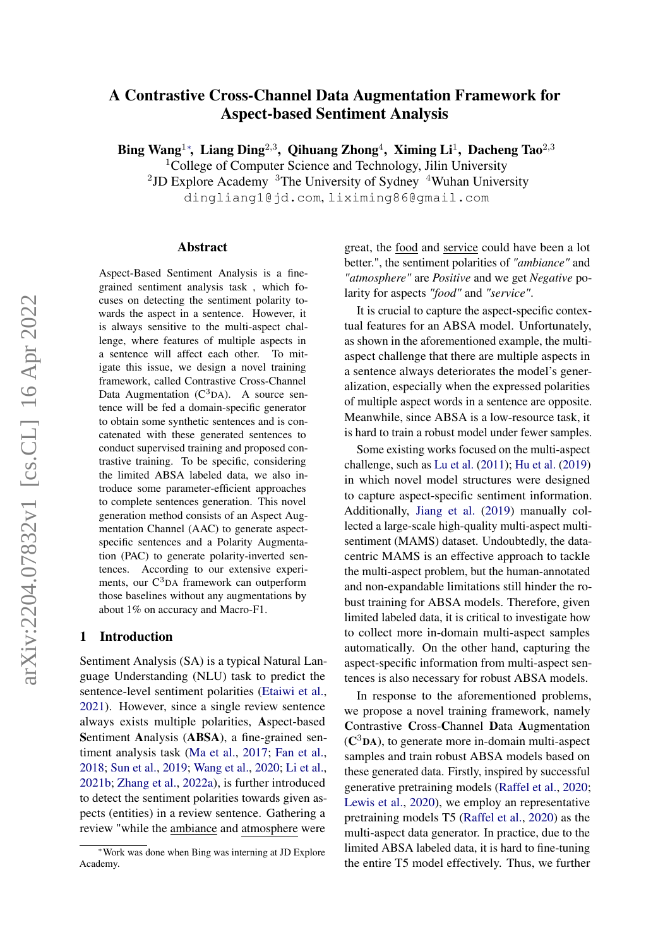# <span id="page-0-0"></span>A Contrastive Cross-Channel Data Augmentation Framework for Aspect-based Sentiment Analysis

Bing Wang<sup>1∗</sup>, Liang Ding<sup>2,3</sup>, Qihuang Zhong<sup>4</sup>, Ximing Li<sup>1</sup>, Dacheng Tao<sup>2,3</sup>

<sup>1</sup>College of Computer Science and Technology, Jilin University

<sup>2</sup>JD Explore Academy  $3$ The University of Sydney  $4$ Wuhan University

dingliang1@jd.com, liximing86@gmail.com

#### Abstract

Aspect-Based Sentiment Analysis is a finegrained sentiment analysis task , which focuses on detecting the sentiment polarity towards the aspect in a sentence. However, it is always sensitive to the multi-aspect challenge, where features of multiple aspects in a sentence will affect each other. To mitigate this issue, we design a novel training framework, called Contrastive Cross-Channel Data Augmentation  $(C^{3}DA)$ . A source sentence will be fed a domain-specific generator to obtain some synthetic sentences and is concatenated with these generated sentences to conduct supervised training and proposed contrastive training. To be specific, considering the limited ABSA labeled data, we also introduce some parameter-efficient approaches to complete sentences generation. This novel generation method consists of an Aspect Augmentation Channel (AAC) to generate aspectspecific sentences and a Polarity Augmentation (PAC) to generate polarity-inverted sentences. According to our extensive experiments, our  $C<sup>3</sup>DA$  framework can outperform those baselines without any augmentations by about 1% on accuracy and Macro-F1.

#### 1 Introduction

Sentiment Analysis (SA) is a typical Natural Language Understanding (NLU) task to predict the sentence-level sentiment polarities [\(Etaiwi et al.,](#page-8-0) [2021\)](#page-8-0). However, since a single review sentence always exists multiple polarities, Aspect-based Sentiment Analysis (ABSA), a fine-grained sentiment analysis task [\(Ma et al.,](#page-9-0) [2017;](#page-9-0) [Fan et al.,](#page-8-1) [2018;](#page-8-1) [Sun et al.,](#page-10-0) [2019;](#page-10-0) [Wang et al.,](#page-10-1) [2020;](#page-10-1) [Li et al.,](#page-9-1) [2021b;](#page-9-1) [Zhang et al.,](#page-10-2) [2022a\)](#page-10-2), is further introduced to detect the sentiment polarities towards given aspects (entities) in a review sentence. Gathering a review "while the ambiance and atmosphere were

great, the food and service could have been a lot better.", the sentiment polarities of *"ambiance"* and *"atmosphere"* are *Positive* and we get *Negative* polarity for aspects *"food"* and *"service"*.

It is crucial to capture the aspect-specific contextual features for an ABSA model. Unfortunately, as shown in the aforementioned example, the multiaspect challenge that there are multiple aspects in a sentence always deteriorates the model's generalization, especially when the expressed polarities of multiple aspect words in a sentence are opposite. Meanwhile, since ABSA is a low-resource task, it is hard to train a robust model under fewer samples.

Some existing works focused on the multi-aspect challenge, such as [Lu et al.](#page-9-2) [\(2011\)](#page-9-2); [Hu et al.](#page-9-3) [\(2019\)](#page-9-3) in which novel model structures were designed to capture aspect-specific sentiment information. Additionally, [Jiang et al.](#page-9-4) [\(2019\)](#page-9-4) manually collected a large-scale high-quality multi-aspect multisentiment (MAMS) dataset. Undoubtedly, the datacentric MAMS is an effective approach to tackle the multi-aspect problem, but the human-annotated and non-expandable limitations still hinder the robust training for ABSA models. Therefore, given limited labeled data, it is critical to investigate how to collect more in-domain multi-aspect samples automatically. On the other hand, capturing the aspect-specific information from multi-aspect sentences is also necessary for robust ABSA models.

In response to the aforementioned problems, we propose a novel training framework, namely Contrastive Cross-Channel Data Augmentation  $(C<sup>3</sup>DA)$ , to generate more in-domain multi-aspect samples and train robust ABSA models based on these generated data. Firstly, inspired by successful generative pretraining models [\(Raffel et al.,](#page-10-3) [2020;](#page-10-3) [Lewis et al.,](#page-9-5) [2020\)](#page-9-5), we employ an representative pretraining models T5 [\(Raffel et al.,](#page-10-3) [2020\)](#page-10-3) as the multi-aspect data generator. In practice, due to the limited ABSA labeled data, it is hard to fine-tuning the entire T5 model effectively. Thus, we further

<sup>∗</sup>Work was done when Bing was interning at JD Explore Academy.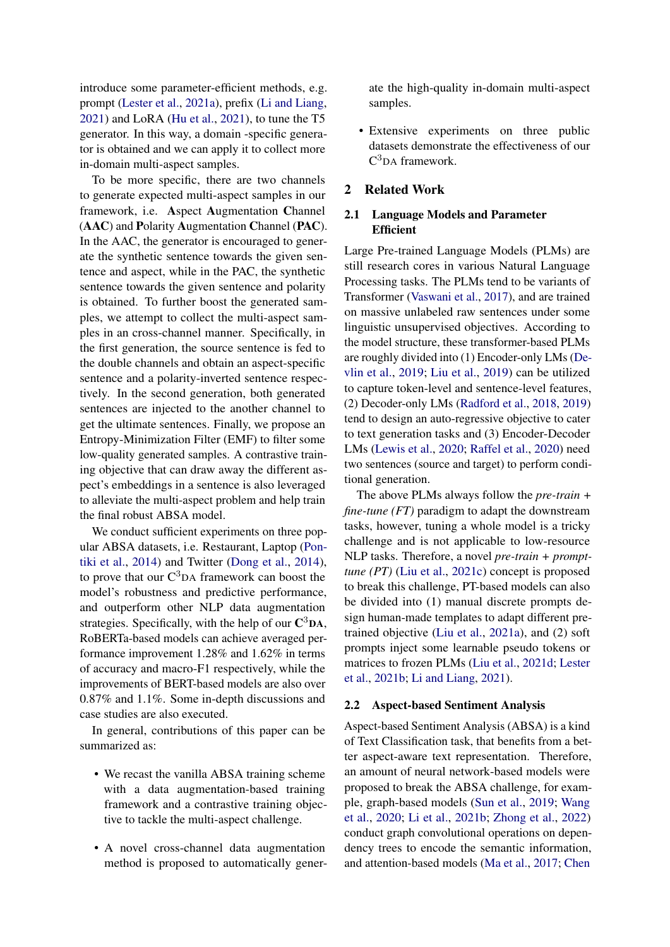introduce some parameter-efficient methods, e.g. prompt [\(Lester et al.,](#page-9-6) [2021a\)](#page-9-6), prefix [\(Li and Liang,](#page-9-7) [2021\)](#page-9-7) and LoRA [\(Hu et al.,](#page-8-2) [2021\)](#page-8-2), to tune the T5 generator. In this way, a domain -specific generator is obtained and we can apply it to collect more in-domain multi-aspect samples.

To be more specific, there are two channels to generate expected multi-aspect samples in our framework, i.e. Aspect Augmentation Channel (AAC) and Polarity Augmentation Channel (PAC). In the AAC, the generator is encouraged to generate the synthetic sentence towards the given sentence and aspect, while in the PAC, the synthetic sentence towards the given sentence and polarity is obtained. To further boost the generated samples, we attempt to collect the multi-aspect samples in an cross-channel manner. Specifically, in the first generation, the source sentence is fed to the double channels and obtain an aspect-specific sentence and a polarity-inverted sentence respectively. In the second generation, both generated sentences are injected to the another channel to get the ultimate sentences. Finally, we propose an Entropy-Minimization Filter (EMF) to filter some low-quality generated samples. A contrastive training objective that can draw away the different aspect's embeddings in a sentence is also leveraged to alleviate the multi-aspect problem and help train the final robust ABSA model.

We conduct sufficient experiments on three popular ABSA datasets, i.e. Restaurant, Laptop [\(Pon](#page-10-4)[tiki et al.,](#page-10-4) [2014\)](#page-10-4) and Twitter [\(Dong et al.,](#page-8-3) [2014\)](#page-8-3), to prove that our  $C<sup>3</sup>DA$  framework can boost the model's robustness and predictive performance, and outperform other NLP data augmentation strategies. Specifically, with the help of our  $\mathbf{C}^3\mathbf{DA}$ , RoBERTa-based models can achieve averaged performance improvement 1.28% and 1.62% in terms of accuracy and macro-F1 respectively, while the improvements of BERT-based models are also over 0.87% and 1.1%. Some in-depth discussions and case studies are also executed.

In general, contributions of this paper can be summarized as:

- We recast the vanilla ABSA training scheme with a data augmentation-based training framework and a contrastive training objective to tackle the multi-aspect challenge.
- A novel cross-channel data augmentation method is proposed to automatically gener-

ate the high-quality in-domain multi-aspect samples.

• Extensive experiments on three public datasets demonstrate the effectiveness of our C <sup>3</sup>DA framework.

## 2 Related Work

### 2.1 Language Models and Parameter Efficient

Large Pre-trained Language Models (PLMs) are still research cores in various Natural Language Processing tasks. The PLMs tend to be variants of Transformer [\(Vaswani et al.,](#page-10-5) [2017\)](#page-10-5), and are trained on massive unlabeled raw sentences under some linguistic unsupervised objectives. According to the model structure, these transformer-based PLMs are roughly divided into (1) Encoder-only LMs [\(De](#page-8-4)[vlin et al.,](#page-8-4) [2019;](#page-8-4) [Liu et al.,](#page-9-8) [2019\)](#page-9-8) can be utilized to capture token-level and sentence-level features, (2) Decoder-only LMs [\(Radford et al.,](#page-10-6) [2018,](#page-10-6) [2019\)](#page-10-7) tend to design an auto-regressive objective to cater to text generation tasks and (3) Encoder-Decoder LMs [\(Lewis et al.,](#page-9-5) [2020;](#page-9-5) [Raffel et al.,](#page-10-3) [2020\)](#page-10-3) need two sentences (source and target) to perform conditional generation.

The above PLMs always follow the *pre-train + fine-tune (FT)* paradigm to adapt the downstream tasks, however, tuning a whole model is a tricky challenge and is not applicable to low-resource NLP tasks. Therefore, a novel *pre-train + prompttune (PT)* [\(Liu et al.,](#page-9-9) [2021c\)](#page-9-9) concept is proposed to break this challenge, PT-based models can also be divided into (1) manual discrete prompts design human-made templates to adapt different pretrained objective [\(Liu et al.,](#page-9-10) [2021a\)](#page-9-10), and (2) soft prompts inject some learnable pseudo tokens or matrices to frozen PLMs [\(Liu et al.,](#page-9-11) [2021d;](#page-9-11) [Lester](#page-9-12) [et al.,](#page-9-12) [2021b;](#page-9-12) [Li and Liang,](#page-9-7) [2021\)](#page-9-7).

#### 2.2 Aspect-based Sentiment Analysis

Aspect-based Sentiment Analysis (ABSA) is a kind of Text Classification task, that benefits from a better aspect-aware text representation. Therefore, an amount of neural network-based models were proposed to break the ABSA challenge, for example, graph-based models [\(Sun et al.,](#page-10-0) [2019;](#page-10-0) [Wang](#page-10-1) [et al.,](#page-10-1) [2020;](#page-10-1) [Li et al.,](#page-9-1) [2021b;](#page-9-1) [Zhong et al.,](#page-11-0) [2022\)](#page-11-0) conduct graph convolutional operations on dependency trees to encode the semantic information, and attention-based models [\(Ma et al.,](#page-9-0) [2017;](#page-9-0) [Chen](#page-8-5)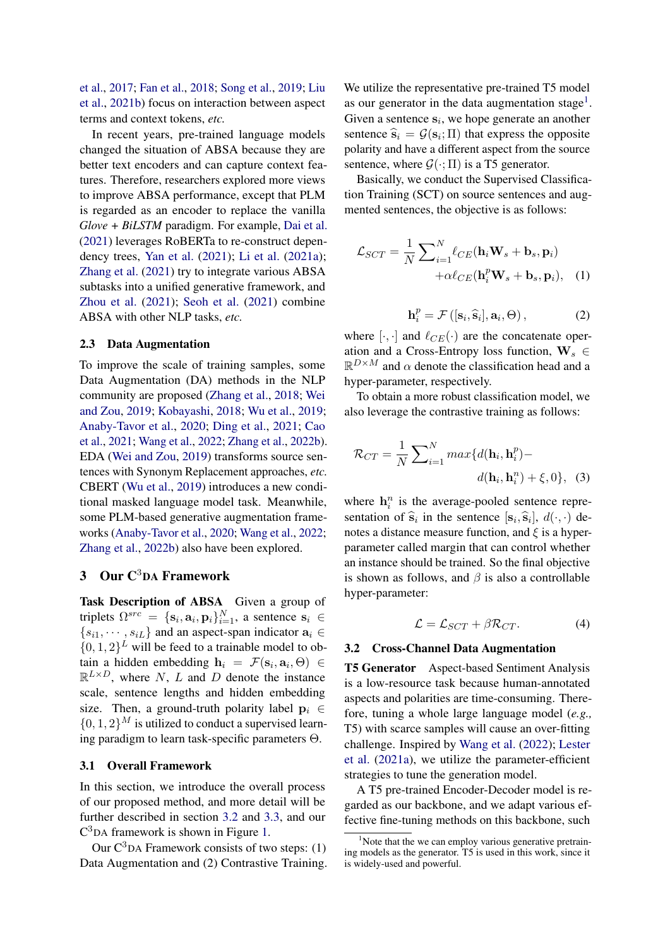[et al.,](#page-8-5) [2017;](#page-8-5) [Fan et al.,](#page-8-1) [2018;](#page-8-1) [Song et al.,](#page-10-8) [2019;](#page-10-8) [Liu](#page-9-13) [et al.,](#page-9-13) [2021b\)](#page-9-13) focus on interaction between aspect terms and context tokens, *etc.*

In recent years, pre-trained language models changed the situation of ABSA because they are better text encoders and can capture context features. Therefore, researchers explored more views to improve ABSA performance, except that PLM is regarded as an encoder to replace the vanilla *Glove + BiLSTM* paradigm. For example, [Dai et al.](#page-8-6) [\(2021\)](#page-8-6) leverages RoBERTa to re-construct dependency trees, [Yan et al.](#page-10-9) [\(2021\)](#page-10-9); [Li et al.](#page-9-14) [\(2021a\)](#page-9-14); [Zhang et al.](#page-10-10) [\(2021\)](#page-10-10) try to integrate various ABSA subtasks into a unified generative framework, and [Zhou et al.](#page-11-1) [\(2021\)](#page-11-1); [Seoh et al.](#page-10-11) [\(2021\)](#page-10-11) combine ABSA with other NLP tasks, *etc.*

### 2.3 Data Augmentation

To improve the scale of training samples, some Data Augmentation (DA) methods in the NLP community are proposed [\(Zhang et al.,](#page-10-12) [2018;](#page-10-12) [Wei](#page-10-13) [and Zou,](#page-10-13) [2019;](#page-10-13) [Kobayashi,](#page-9-15) [2018;](#page-9-15) [Wu et al.,](#page-10-14) [2019;](#page-10-14) [Anaby-Tavor et al.,](#page-8-7) [2020;](#page-8-7) [Ding et al.,](#page-8-8) [2021;](#page-8-8) [Cao](#page-8-9) [et al.,](#page-8-9) [2021;](#page-8-9) [Wang et al.,](#page-10-15) [2022;](#page-10-15) [Zhang et al.,](#page-10-16) [2022b\)](#page-10-16). EDA [\(Wei and Zou,](#page-10-13) [2019\)](#page-10-13) transforms source sentences with Synonym Replacement approaches, *etc.* CBERT [\(Wu et al.,](#page-10-14) [2019\)](#page-10-14) introduces a new conditional masked language model task. Meanwhile, some PLM-based generative augmentation frameworks [\(Anaby-Tavor et al.,](#page-8-7) [2020;](#page-8-7) [Wang et al.,](#page-10-15) [2022;](#page-10-15) [Zhang et al.,](#page-10-16) [2022b\)](#page-10-16) also have been explored.

## 3 Our C<sup>3</sup>DA Framework

Task Description of ABSA Given a group of triplets  $\Omega^{src} = \{\mathbf{s}_i, \mathbf{a}_i, \mathbf{p}_i\}_{i=1}^N$ , a sentence  $\mathbf{s}_i \in$  ${s_{i1}, \dots, s_{iL}}$  and an aspect-span indicator  $a_i \in$  $\{0, 1, 2\}$ <sup>L</sup> will be feed to a trainable model to obtain a hidden embedding  $h_i = \mathcal{F}(\mathbf{s}_i, \mathbf{a}_i, \Theta) \in$  $\mathbb{R}^{L\times D}$ , where N, L and D denote the instance scale, sentence lengths and hidden embedding size. Then, a ground-truth polarity label  $\mathbf{p}_i \in$  $\{0, 1, 2\}^M$  is utilized to conduct a supervised learning paradigm to learn task-specific parameters Θ.

#### 3.1 Overall Framework

In this section, we introduce the overall process of our proposed method, and more detail will be further described in section [3.2](#page-2-0) and [3.3,](#page-3-0) and our C <sup>3</sup>DA framework is shown in Figure [1.](#page-3-1)

Our  $C<sup>3</sup>DA$  Framework consists of two steps: (1) Data Augmentation and (2) Contrastive Training. We utilize the representative pre-trained T5 model as our generator in the data augmentation stage<sup>[1](#page-0-0)</sup>. Given a sentence  $s_i$ , we hope generate an another sentence  $\hat{s}_i = \mathcal{G}(s_i; \Pi)$  that express the opposite<br>notative and have a different senset from the source polarity and have a different aspect from the source sentence, where  $\mathcal{G}(\cdot; \Pi)$  is a T5 generator.

Basically, we conduct the Supervised Classification Training (SCT) on source sentences and augmented sentences, the objective is as follows:

$$
\mathcal{L}_{SCT} = \frac{1}{N} \sum_{i=1}^{N} \ell_{CE} (\mathbf{h}_i \mathbf{W}_s + \mathbf{b}_s, \mathbf{p}_i) + \alpha \ell_{CE} (\mathbf{h}_i^p \mathbf{W}_s + \mathbf{b}_s, \mathbf{p}_i), \quad (1)
$$

$$
\mathbf{h}_i^p = \mathcal{F}\left( [\mathbf{s}_i, \widehat{\mathbf{s}}_i], \mathbf{a}_i, \Theta \right),\tag{2}
$$

where  $[\cdot, \cdot]$  and  $\ell_{CE}(\cdot)$  are the concatenate operation and a Cross-Entropy loss function,  $\mathbf{W}_s \in$  $\mathbb{R}^{D \times M}$  and  $\alpha$  denote the classification head and a hyper-parameter, respectively.

To obtain a more robust classification model, we also leverage the contrastive training as follows:

$$
\mathcal{R}_{CT} = \frac{1}{N} \sum_{i=1}^{N} max\{d(\mathbf{h}_i, \mathbf{h}_i^p) - d(\mathbf{h}_i, \mathbf{h}_i^p) + \xi, 0\}, \quad (3)
$$

where  $h_i^n$  is the average-pooled sentence representation of  $\hat{\mathbf{s}}_i$  in the sentence  $[\mathbf{s}_i, \hat{\mathbf{s}}_i]$ ,  $d(\cdot, \cdot)$  denotes a distance measure function, and  $\xi$  is a hyperparameter called margin that can control whether an instance should be trained. So the final objective is shown as follows, and  $\beta$  is also a controllable hyper-parameter:

<span id="page-2-1"></span>
$$
\mathcal{L} = \mathcal{L}_{SCT} + \beta \mathcal{R}_{CT}.\tag{4}
$$

#### <span id="page-2-0"></span>3.2 Cross-Channel Data Augmentation

T5 Generator Aspect-based Sentiment Analysis is a low-resource task because human-annotated aspects and polarities are time-consuming. Therefore, tuning a whole large language model (*e.g.,* T5) with scarce samples will cause an over-fitting challenge. Inspired by [Wang et al.](#page-10-15) [\(2022\)](#page-10-15); [Lester](#page-9-6) [et al.](#page-9-6) [\(2021a\)](#page-9-6), we utilize the parameter-efficient strategies to tune the generation model.

A T5 pre-trained Encoder-Decoder model is regarded as our backbone, and we adapt various effective fine-tuning methods on this backbone, such

<sup>&</sup>lt;sup>1</sup>Note that the we can employ various generative pretraining models as the generator. T5 is used in this work, since it is widely-used and powerful.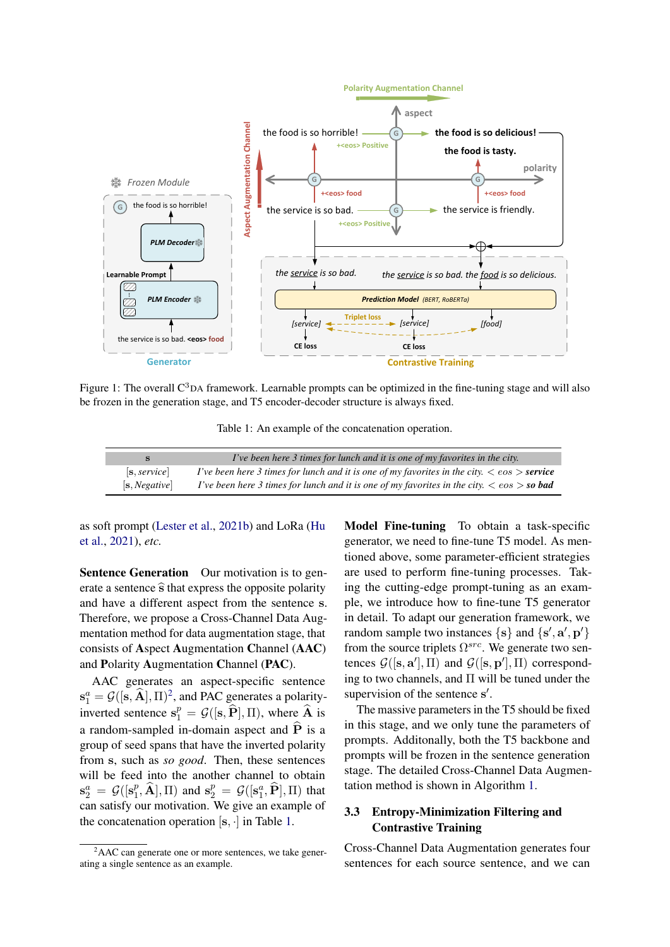<span id="page-3-1"></span>

<span id="page-3-2"></span>Figure 1: The overall  $C<sup>3</sup>DA$  framework. Learnable prompts can be optimized in the fine-tuning stage and will also be frozen in the generation stage, and T5 encoder-decoder structure is always fixed.

Table 1: An example of the concatenation operation.

| s             | I've been here 3 times for lunch and it is one of my favorites in the city.                                |
|---------------|------------------------------------------------------------------------------------------------------------|
| [s, service]  | I've been here 3 times for lunch and it is one of my favorites in the city. $\langle \cos \rangle$ service |
| [s, Negative] | I've been here 3 times for lunch and it is one of my favorites in the city. $\langle \cos \rangle$ so bad  |

as soft prompt [\(Lester et al.,](#page-9-12) [2021b\)](#page-9-12) and LoRa [\(Hu](#page-8-2) [et al.,](#page-8-2) [2021\)](#page-8-2), *etc.*

Sentence Generation Our motivation is to generate a sentence  $\hat{s}$  that express the opposite polarity and have a different aspect from the sentence s. Therefore, we propose a Cross-Channel Data Augmentation method for data augmentation stage, that consists of Aspect Augmentation Channel (AAC) and Polarity Augmentation Channel (PAC).

AAC generates an aspect-specific sentence  $\mathbf{s}_1^a = \mathcal{G}([\mathbf{s}, \widehat{\mathbf{A}}], \Pi)^2$  $\mathbf{s}_1^a = \mathcal{G}([\mathbf{s}, \widehat{\mathbf{A}}], \Pi)^2$ , and PAC generates a polarityinverted sentence  $s_1^p = \mathcal{G}([\mathbf{s}, \widehat{P}], \Pi)$ , where  $\widehat{A}$  is a random-sampled in-domain aspect and  $\hat{P}$  is a group of seed spans that have the inverted polarity from s, such as *so good*. Then, these sentences will be feed into the another channel to obtain  $\mathbf{s}^a_2 = \mathcal{G}([\mathbf{s}^p_1$  $\mathbf{F}_1^p$ ,  $\widehat{\mathbf{A}}$ ,  $\Pi$ ) and  $\mathbf{s}_2^p = \mathcal{G}([\mathbf{s}_1^a, \widehat{\mathbf{P}}], \Pi)$  that can satisfy our motivation. We give an example of the concatenation operation  $[s, \cdot]$  in Table [1.](#page-3-2)

Model Fine-tuning To obtain a task-specific generator, we need to fine-tune T5 model. As mentioned above, some parameter-efficient strategies are used to perform fine-tuning processes. Taking the cutting-edge prompt-tuning as an example, we introduce how to fine-tune T5 generator in detail. To adapt our generation framework, we random sample two instances  $\{s\}$  and  $\{s', a', p'\}$ from the source triplets  $\Omega^{src}$ . We generate two sentences  $G([s, a'], \Pi)$  and  $G([s, p'], \Pi)$  corresponding to two channels, and  $\Pi$  will be tuned under the supervision of the sentence s'.

The massive parameters in the T5 should be fixed in this stage, and we only tune the parameters of prompts. Additonally, both the T5 backbone and prompts will be frozen in the sentence generation stage. The detailed Cross-Channel Data Augmentation method is shown in Algorithm [1.](#page-4-0)

## <span id="page-3-0"></span>3.3 Entropy-Minimization Filtering and Contrastive Training

Cross-Channel Data Augmentation generates four sentences for each source sentence, and we can

 ${}^{2}$ AAC can generate one or more sentences, we take generating a single sentence as an example.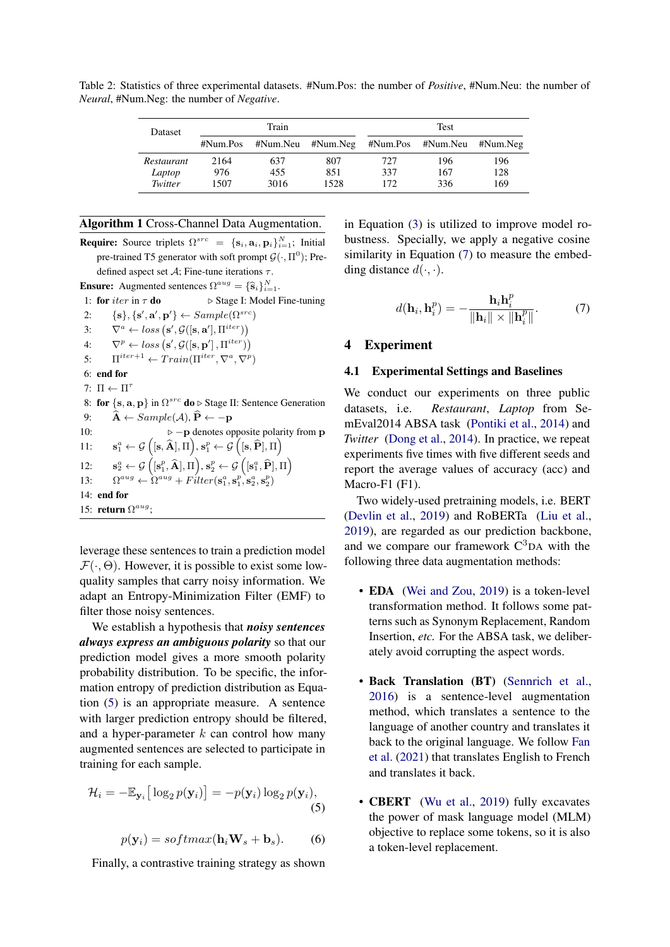Dataset Train Test #Num.Pos #Num.Neu #Num.Neg #Num.Pos #Num.Neu #Num.Neg *Restaurant* 2164 637 807 727 196 196<br> *Laptop* 976 455 851 337 167 128 *Laptop* 976 455 851 337 167 128 *Twitter* 1507 3016 1528 172 336 169

Table 2: Statistics of three experimental datasets. #Num.Pos: the number of *Positive*, #Num.Neu: the number of *Neural*, #Num.Neg: the number of *Negative*.

### <span id="page-4-0"></span>Algorithm 1 Cross-Channel Data Augmentation.

**Require:** Source triplets  $\Omega^{src} = {\mathbf{s}_i, \mathbf{a}_i, \mathbf{p}_i}_{i=1}^N$ ; Initial pre-trained T5 generator with soft prompt  $\mathcal{G}(\cdot, \Pi^0)$ ; Predefined aspect set  $A$ ; Fine-tune iterations  $\tau$ . **Ensure:** Augmented sentences  $\Omega^{aug} = {\hat{\mathbf{s}}_i}_{i=1}^N$ 

1: for  $iter$  in  $\tau$  do  $\Rightarrow$  Stage I: Model Fine-tuning 2:  $\{s\}, \{s', a', p'\} \leftarrow Sample(\Omega^{src})$ 3:  $\nabla^a \leftarrow loss(\mathbf{s}', \mathcal{G}([\mathbf{s}, \mathbf{a}'], \Pi^{iter}))$ 4:  $\nabla^p \leftarrow loss\left(s', \mathcal{G}([\mathbf{s}, \mathbf{p}'], \Pi^{iter})\right)$ 5:  $\Pi^{iter+1} \leftarrow Train(\Pi^{iter}, \nabla^a, \nabla^p)$ 6: end for 7:  $\Pi \leftarrow \Pi^{\tau}$ 8: for  $\{s, a, p\}$  in  $\Omega^{src}$  do  $\triangleright$  Stage II: Sentence Generation 9:  $\hat{\mathbf{A}} \leftarrow Sample(\mathcal{A}), \hat{\mathbf{P}} \leftarrow -\mathbf{p}$ <br>10:  $\triangleright -\mathbf{p}$  denotes or 10: . −p denotes opposite polarity from p  $11$ :  $\mathbf{a}^a_1 \leftarrow \mathcal{G}\left( [\mathbf{s}, \widehat{\mathbf{A}}], \Pi \right)\!, \mathbf{s}^p_1 \leftarrow \mathcal{G}\left( [\mathbf{s}, \widehat{\mathbf{P}}], \Pi \right)$  $12:$  $\mathbf{g}^a_2 \leftarrow \mathcal{G}\left( [\mathbf{s}^p_1, \widehat{\mathbf{A}}], \Pi \right), \mathbf{s}^p_2 \leftarrow \mathcal{G}\left( [\mathbf{s}^a_1, \widehat{\mathbf{P}}], \Pi \right)$ 13:  $\hat{a}^{aug} \leftarrow \hat{\Omega}^{aug} + Filter(\mathbf{s}_1^a, \mathbf{s}_1^p, \mathbf{\hat{s}}_2^a, \mathbf{s}_2^p)$ 14: end for 15: return  $\Omega^{aug}$ ;

leverage these sentences to train a prediction model  $\mathcal{F}(\cdot, \Theta)$ . However, it is possible to exist some lowquality samples that carry noisy information. We adapt an Entropy-Minimization Filter (EMF) to filter those noisy sentences.

We establish a hypothesis that *noisy sentences always express an ambiguous polarity* so that our prediction model gives a more smooth polarity probability distribution. To be specific, the information entropy of prediction distribution as Equation [\(5\)](#page-4-1) is an appropriate measure. A sentence with larger prediction entropy should be filtered, and a hyper-parameter  $k$  can control how many augmented sentences are selected to participate in training for each sample.

$$
\mathcal{H}_i = -\mathbb{E}_{\mathbf{y}_i} \big[ \log_2 p(\mathbf{y}_i) \big] = -p(\mathbf{y}_i) \log_2 p(\mathbf{y}_i),\tag{5}
$$

<span id="page-4-1"></span>
$$
p(\mathbf{y}_i) = softmax(\mathbf{h}_i \mathbf{W}_s + \mathbf{b}_s). \qquad (6)
$$

Finally, a contrastive training strategy as shown

in Equation [\(3\)](#page-2-1) is utilized to improve model robustness. Specially, we apply a negative cosine similarity in Equation [\(7\)](#page-4-2) to measure the embedding distance  $d(\cdot, \cdot)$ .

<span id="page-4-2"></span>
$$
d(\mathbf{h}_i, \mathbf{h}_i^p) = -\frac{\mathbf{h}_i \mathbf{h}_i^p}{\|\mathbf{h}_i\| \times \|\mathbf{h}_i^p\|}.
$$
 (7)

#### 4 Experiment

#### 4.1 Experimental Settings and Baselines

We conduct our experiments on three public datasets, i.e. *Restaurant*, *Laptop* from SemEval2014 ABSA task [\(Pontiki et al.,](#page-10-4) [2014\)](#page-10-4) and *Twitter* [\(Dong et al.,](#page-8-3) [2014\)](#page-8-3). In practice, we repeat experiments five times with five different seeds and report the average values of accuracy (acc) and Macro-F1 (F1).

Two widely-used pretraining models, i.e. BERT [\(Devlin et al.,](#page-8-4) [2019\)](#page-8-4) and RoBERTa [\(Liu et al.,](#page-9-8) [2019\)](#page-9-8), are regarded as our prediction backbone, and we compare our framework  $C<sup>3</sup>DA$  with the following three data augmentation methods:

- **EDA** [\(Wei and Zou,](#page-10-13) [2019\)](#page-10-13) is a token-level transformation method. It follows some patterns such as Synonym Replacement, Random Insertion, *etc.* For the ABSA task, we deliberately avoid corrupting the aspect words.
- Back Translation (BT) [\(Sennrich et al.,](#page-10-17) [2016\)](#page-10-17) is a sentence-level augmentation method, which translates a sentence to the language of another country and translates it back to the original language. We follow [Fan](#page-8-10) [et al.](#page-8-10) [\(2021\)](#page-8-10) that translates English to French and translates it back.
- **CBERT** [\(Wu et al.,](#page-10-14) [2019\)](#page-10-14) fully excavates the power of mask language model (MLM) objective to replace some tokens, so it is also a token-level replacement.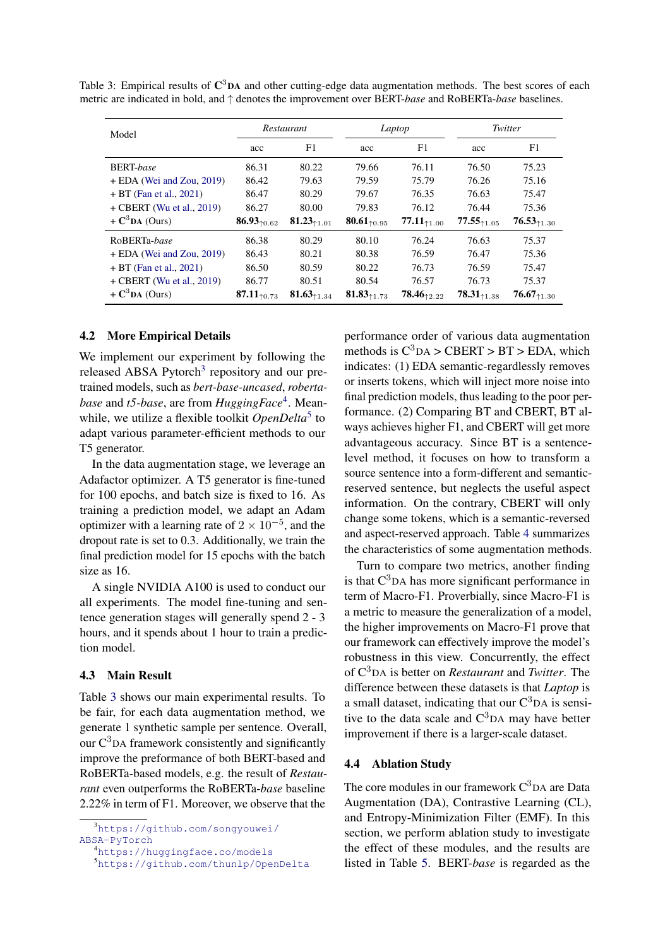<span id="page-5-0"></span>

|  | Table 3: Empirical results of $\mathbb{C}^3$ DA and other cutting-edge data augmentation methods. The best scores of each |  |  |  |  |
|--|---------------------------------------------------------------------------------------------------------------------------|--|--|--|--|
|  | metric are indicated in bold, and $\uparrow$ denotes the improvement over BERT-base and RoBERTa-base baselines.           |  |  |  |  |

| Model                       | Restaurant               |                         | Laptop                        |                 | Twitter                                  |                               |
|-----------------------------|--------------------------|-------------------------|-------------------------------|-----------------|------------------------------------------|-------------------------------|
|                             | acc                      | F1                      | acc                           | F1              | acc                                      | F1                            |
| <b>BERT-base</b>            | 86.31                    | 80.22                   | 79.66                         | 76.11           | 76.50                                    | 75.23                         |
| + EDA (Wei and Zou, 2019)   | 86.42                    | 79.63                   | 79.59                         | 75.79           | 76.26                                    | 75.16                         |
| $+ BT (Fan et al., 2021)$   | 86.47                    | 80.29                   | 79.67                         | 76.35           | 76.63                                    | 75.47                         |
| $+$ CBERT (Wu et al., 2019) | 86.27                    | 80.00                   | 79.83                         | 76.12           | 76.44                                    | 75.36                         |
| $+ C3DA$ (Ours)             | 86.93 $_{10.62}$         | 81.23 $_{\uparrow1.01}$ | 80.61 $_{10.95}$              | $77.11_{+1.00}$ | $77.55_{\textcolor{red}{\uparrow 1.05}}$ | $76.53_{\text{\tiny{*1.30}}}$ |
| RoBERTa-base                | 86.38                    | 80.29                   | 80.10                         | 76.24           | 76.63                                    | 75.37                         |
| $+$ EDA (Wei and Zou, 2019) | 86.43                    | 80.21                   | 80.38                         | 76.59           | 76.47                                    | 75.36                         |
| $+ BT (Fan et al., 2021)$   | 86.50                    | 80.59                   | 80.22                         | 76.73           | 76.59                                    | 75.47                         |
| $+$ CBERT (Wu et al., 2019) | 86.77                    | 80.51                   | 80.54                         | 76.57           | 76.73                                    | 75.37                         |
| $+ C3DA$ (Ours)             | 87.11 $_{\uparrow 0.73}$ | 81.63 $_{1.34}$         | $81.83_{\text{\tiny{21.73}}}$ | $78.46_{12.22}$ | $78.31_{\text{\textsterling}1.38}$       | $76.67_{\text{\tiny{71.30}}}$ |

#### 4.2 More Empirical Details

We implement our experiment by following the released ABSA Pytorch<sup>[3](#page-0-0)</sup> repository and our pretrained models, such as *bert-base-uncased*, *robertabase* and *t5-base*, are from *HuggingFace*[4](#page-0-0) . Meanwhile, we utilize a flexible toolkit *OpenDelta*<sup>[5](#page-0-0)</sup> to adapt various parameter-efficient methods to our T5 generator.

In the data augmentation stage, we leverage an Adafactor optimizer. A T5 generator is fine-tuned for 100 epochs, and batch size is fixed to 16. As training a prediction model, we adapt an Adam optimizer with a learning rate of  $2 \times 10^{-5}$ , and the dropout rate is set to 0.3. Additionally, we train the final prediction model for 15 epochs with the batch size as 16.

A single NVIDIA A100 is used to conduct our all experiments. The model fine-tuning and sentence generation stages will generally spend 2 - 3 hours, and it spends about 1 hour to train a prediction model.

### <span id="page-5-2"></span>4.3 Main Result

Table [3](#page-5-0) shows our main experimental results. To be fair, for each data augmentation method, we generate 1 synthetic sample per sentence. Overall, our  $C<sup>3</sup>$ DA framework consistently and significantly improve the preformance of both BERT-based and RoBERTa-based models, e.g. the result of *Restaurant* even outperforms the RoBERTa-*base* baseline 2.22% in term of F1. Moreover, we observe that the

<sup>4</sup><https://huggingface.co/models>

performance order of various data augmentation methods is  $C^3DA > CBERT > BT > EDA$ , which indicates: (1) EDA semantic-regardlessly removes or inserts tokens, which will inject more noise into final prediction models, thus leading to the poor performance. (2) Comparing BT and CBERT, BT always achieves higher F1, and CBERT will get more advantageous accuracy. Since BT is a sentencelevel method, it focuses on how to transform a source sentence into a form-different and semanticreserved sentence, but neglects the useful aspect information. On the contrary, CBERT will only change some tokens, which is a semantic-reversed and aspect-reserved approach. Table [4](#page-6-0) summarizes the characteristics of some augmentation methods.

Turn to compare two metrics, another finding is that  $C<sup>3</sup>DA$  has more significant performance in term of Macro-F1. Proverbially, since Macro-F1 is a metric to measure the generalization of a model, the higher improvements on Macro-F1 prove that our framework can effectively improve the model's robustness in this view. Concurrently, the effect of C3DA is better on *Restaurant* and *Twitter*. The difference between these datasets is that *Laptop* is a small dataset, indicating that our  $C<sup>3</sup>DA$  is sensitive to the data scale and  $C<sup>3</sup>DA$  may have better improvement if there is a larger-scale dataset.

#### <span id="page-5-1"></span>4.4 Ablation Study

The core modules in our framework  $C<sup>3</sup>DA$  are Data Augmentation (DA), Contrastive Learning (CL), and Entropy-Minimization Filter (EMF). In this section, we perform ablation study to investigate the effect of these modules, and the results are listed in Table [5.](#page-6-1) BERT-*base* is regarded as the

<sup>3</sup>[https://github.com/songyouwei/](https://github.com/songyouwei/ABSA-PyTorch) [ABSA-PyTorch](https://github.com/songyouwei/ABSA-PyTorch)

<sup>5</sup><https://github.com/thunlp/OpenDelta>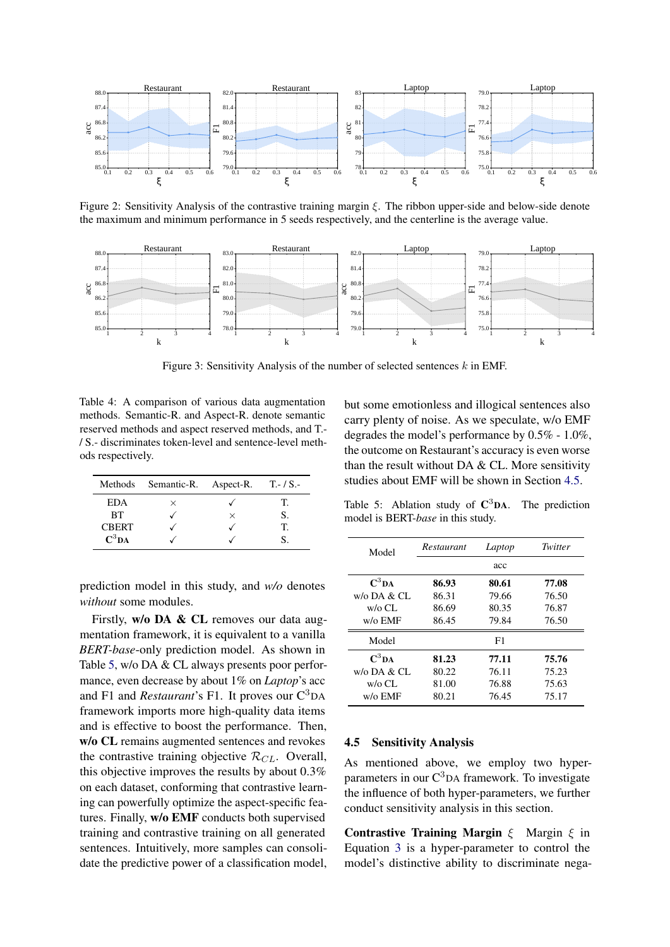<span id="page-6-3"></span>

Figure 2: Sensitivity Analysis of the contrastive training margin  $\xi$ . The ribbon upper-side and below-side denote the maximum and minimum performance in 5 seeds respectively, and the centerline is the average value.

<span id="page-6-4"></span>

Figure 3: Sensitivity Analysis of the number of selected sentences k in EMF.

<span id="page-6-0"></span>Table 4: A comparison of various data augmentation methods. Semantic-R. and Aspect-R. denote semantic reserved methods and aspect reserved methods, and T.- / S.- discriminates token-level and sentence-level methods respectively.

|              | Methods Semantic-R. Aspect-R. T.-/S.- |          |    |
|--------------|---------------------------------------|----------|----|
| EDA          | $\times$                              |          | Т. |
| <b>BT</b>    |                                       | $\times$ |    |
| <b>CBERT</b> |                                       |          | T  |
| $C^3DA$      |                                       |          |    |

prediction model in this study, and *w/o* denotes *without* some modules.

Firstly, w/o DA & CL removes our data augmentation framework, it is equivalent to a vanilla *BERT-base*-only prediction model. As shown in Table [5,](#page-6-1) w/o DA & CL always presents poor performance, even decrease by about 1% on *Laptop*'s acc and F1 and *Restaurant*'s F1. It proves our C<sup>3</sup>DA framework imports more high-quality data items and is effective to boost the performance. Then, w/o CL remains augmented sentences and revokes the contrastive training objective  $\mathcal{R}_{CL}$ . Overall, this objective improves the results by about 0.3% on each dataset, conforming that contrastive learning can powerfully optimize the aspect-specific features. Finally, w/o EMF conducts both supervised training and contrastive training on all generated sentences. Intuitively, more samples can consolidate the predictive power of a classification model, but some emotionless and illogical sentences also carry plenty of noise. As we speculate, w/o EMF degrades the model's performance by 0.5% - 1.0%, the outcome on Restaurant's accuracy is even worse than the result without DA  $&$  CL. More sensitivity studies about EMF will be shown in Section [4.5.](#page-6-2)

<span id="page-6-1"></span>Table 5: Ablation study of  $C^3DA$ . The prediction model is BERT-*base* in this study.

| Model                              | Restaurant<br>Laptop |       | Twitter |
|------------------------------------|----------------------|-------|---------|
|                                    |                      | acc   |         |
| $\mathbf{C}^3\mathbf{D}\mathbf{A}$ | 86.93                | 80.61 | 77.08   |
| $w$ /0 DA & CL                     | 86.31                | 79.66 | 76.50   |
| $w$ /0 CL                          | 86.69                | 80.35 | 76.87   |
| w/o EMF                            | 86.45                | 79.84 | 76.50   |
| Model                              |                      | F1    |         |
| $\mathbf{C}^3$ DA                  | 81.23                | 77.11 | 75.76   |
| $w$ /0 DA & CL                     | 80.22                | 76.11 | 75.23   |
| $w$ /0 CL                          | 81.00                | 76.88 | 75.63   |
| w/o EMF                            | 80.21                | 76.45 | 75.17   |

#### <span id="page-6-2"></span>4.5 Sensitivity Analysis

As mentioned above, we employ two hyperparameters in our  $C<sup>3</sup>$ DA framework. To investigate the influence of both hyper-parameters, we further conduct sensitivity analysis in this section.

Contrastive Training Margin  $\xi$  Margin  $\xi$  in Equation [3](#page-2-1) is a hyper-parameter to control the model's distinctive ability to discriminate nega-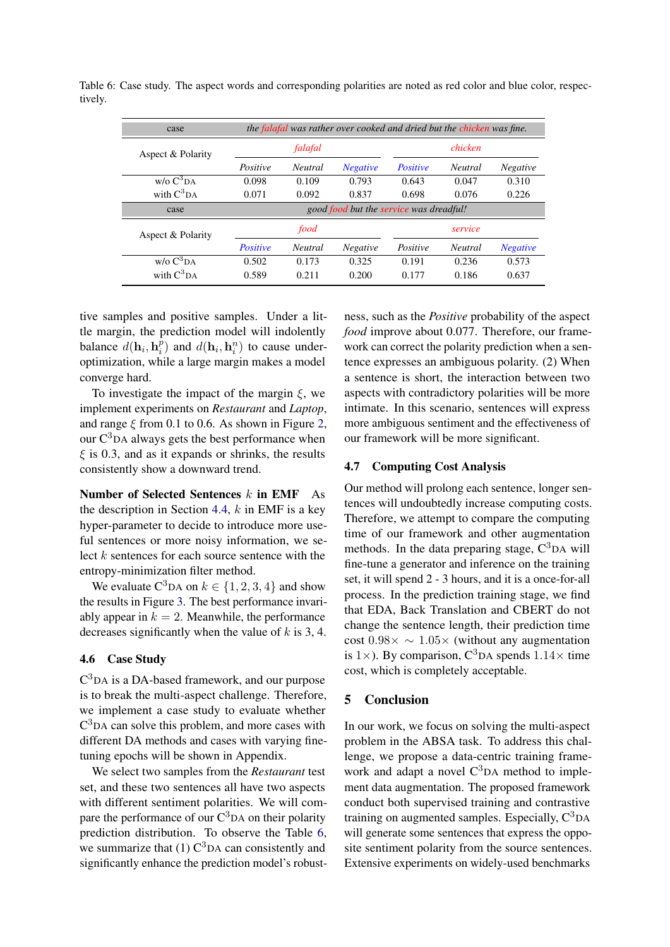| case                  | the falafal was rather over cooked and dried but the chicken was fine. |                |                 |                 |                |                 |
|-----------------------|------------------------------------------------------------------------|----------------|-----------------|-----------------|----------------|-----------------|
| Aspect & Polarity     |                                                                        | falafal        |                 |                 | chicken        |                 |
|                       | Positive                                                               | <b>Neutral</b> | <b>Negative</b> | <b>Positive</b> | <b>Neutral</b> | <b>Negative</b> |
| $w/\sigma C^3DA$      | 0.098                                                                  | 0.109          | 0.793           | 0.643           | 0.047          | 0.310           |
| with $C^3$ DA         | 0.071                                                                  | 0.092          | 0.837           | 0.698           | 0.076          | 0.226           |
| case                  | good food but the service was dreadful!                                |                |                 |                 |                |                 |
| Aspect & Polarity     |                                                                        | food           |                 |                 | service        |                 |
|                       | <b>Positive</b>                                                        | <b>Neutral</b> | <b>Negative</b> | Positive        | <b>Neutral</b> | <b>Negative</b> |
| w/o C <sup>3</sup> DA | 0.502                                                                  | 0.173          | 0.325           | 0.191           | 0.236          | 0.573           |
| with $C^3$ DA         | 0.589                                                                  | 0.211          | 0.200           | 0.177           | 0.186          | 0.637           |

<span id="page-7-0"></span>Table 6: Case study. The aspect words and corresponding polarities are noted as red color and blue color, respectively.

tive samples and positive samples. Under a little margin, the prediction model will indolently balance  $d(\mathbf{h}_i, \mathbf{h}_i^{\tilde{p}})$  $i$ <sup>p</sup>) and  $d(\mathbf{h}_i, \mathbf{h}_i^n)$  to cause underoptimization, while a large margin makes a model converge hard.

To investigate the impact of the margin  $\xi$ , we implement experiments on *Restaurant* and *Laptop*, and range  $\xi$  from 0.1 to 0.6. As shown in Figure [2,](#page-6-3) our  $C<sup>3</sup>$ DA always gets the best performance when  $\xi$  is 0.3, and as it expands or shrinks, the results consistently show a downward trend.

Number of Selected Sentences  $k$  in EMF As the description in Section [4.4,](#page-5-1)  $k$  in EMF is a key hyper-parameter to decide to introduce more useful sentences or more noisy information, we select k sentences for each source sentence with the entropy-minimization filter method.

We evaluate  $C^3$ DA on  $k \in \{1, 2, 3, 4\}$  and show the results in Figure [3.](#page-6-4) The best performance invariably appear in  $k = 2$ . Meanwhile, the performance decreases significantly when the value of  $k$  is 3, 4.

### 4.6 Case Study

C <sup>3</sup>DA is a DA-based framework, and our purpose is to break the multi-aspect challenge. Therefore, we implement a case study to evaluate whether  $C<sup>3</sup>$ DA can solve this problem, and more cases with different DA methods and cases with varying finetuning epochs will be shown in Appendix.

We select two samples from the *Restaurant* test set, and these two sentences all have two aspects with different sentiment polarities. We will compare the performance of our  $C<sup>3</sup>DA$  on their polarity prediction distribution. To observe the Table [6,](#page-7-0) we summarize that  $(1)$   $C^3$ DA can consistently and significantly enhance the prediction model's robustness, such as the *Positive* probability of the aspect *food* improve about 0.077. Therefore, our framework can correct the polarity prediction when a sentence expresses an ambiguous polarity. (2) When a sentence is short, the interaction between two aspects with contradictory polarities will be more intimate. In this scenario, sentences will express more ambiguous sentiment and the effectiveness of our framework will be more significant.

### 4.7 Computing Cost Analysis

Our method will prolong each sentence, longer sentences will undoubtedly increase computing costs. Therefore, we attempt to compare the computing time of our framework and other augmentation methods. In the data preparing stage,  $C<sup>3</sup>DA$  will fine-tune a generator and inference on the training set, it will spend 2 - 3 hours, and it is a once-for-all process. In the prediction training stage, we find that EDA, Back Translation and CBERT do not change the sentence length, their prediction time cost  $0.98 \times \sim 1.05 \times$  (without any augmentation is 1 $\times$ ). By comparison, C<sup>3</sup>DA spends 1.14 $\times$  time cost, which is completely acceptable.

### 5 Conclusion

In our work, we focus on solving the multi-aspect problem in the ABSA task. To address this challenge, we propose a data-centric training framework and adapt a novel  $C<sup>3</sup>DA$  method to implement data augmentation. The proposed framework conduct both supervised training and contrastive training on augmented samples. Especially,  $C^3$ DA will generate some sentences that express the opposite sentiment polarity from the source sentences. Extensive experiments on widely-used benchmarks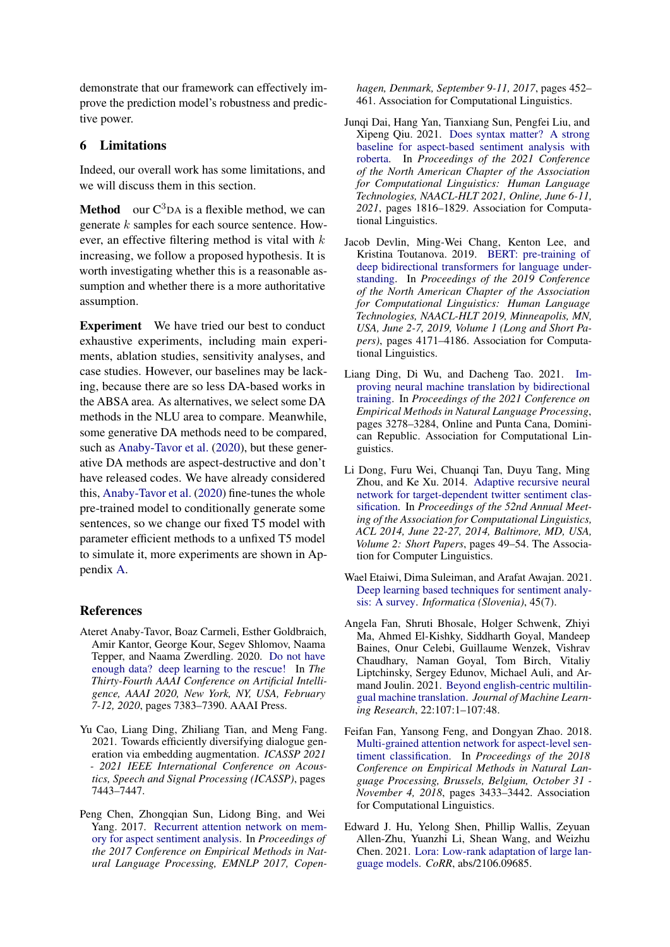demonstrate that our framework can effectively improve the prediction model's robustness and predictive power.

## 6 Limitations

Indeed, our overall work has some limitations, and we will discuss them in this section.

**Method** our  $C^3$ DA is a flexible method, we can generate  $k$  samples for each source sentence. However, an effective filtering method is vital with  $k$ increasing, we follow a proposed hypothesis. It is worth investigating whether this is a reasonable assumption and whether there is a more authoritative assumption.

Experiment We have tried our best to conduct exhaustive experiments, including main experiments, ablation studies, sensitivity analyses, and case studies. However, our baselines may be lacking, because there are so less DA-based works in the ABSA area. As alternatives, we select some DA methods in the NLU area to compare. Meanwhile, some generative DA methods need to be compared, such as [Anaby-Tavor et al.](#page-8-7) [\(2020\)](#page-8-7), but these generative DA methods are aspect-destructive and don't have released codes. We have already considered this, [Anaby-Tavor et al.](#page-8-7) [\(2020\)](#page-8-7) fine-tunes the whole pre-trained model to conditionally generate some sentences, so we change our fixed T5 model with parameter efficient methods to a unfixed T5 model to simulate it, more experiments are shown in Appendix [A.](#page-11-2)

## References

- <span id="page-8-7"></span>Ateret Anaby-Tavor, Boaz Carmeli, Esther Goldbraich, Amir Kantor, George Kour, Segev Shlomov, Naama Tepper, and Naama Zwerdling. 2020. [Do not have](https://aaai.org/ojs/index.php/AAAI/article/view/6233) [enough data? deep learning to the rescue!](https://aaai.org/ojs/index.php/AAAI/article/view/6233) In *The Thirty-Fourth AAAI Conference on Artificial Intelligence, AAAI 2020, New York, NY, USA, February 7-12, 2020*, pages 7383–7390. AAAI Press.
- <span id="page-8-9"></span>Yu Cao, Liang Ding, Zhiliang Tian, and Meng Fang. 2021. Towards efficiently diversifying dialogue generation via embedding augmentation. *ICASSP 2021 - 2021 IEEE International Conference on Acoustics, Speech and Signal Processing (ICASSP)*, pages 7443–7447.
- <span id="page-8-5"></span>Peng Chen, Zhongqian Sun, Lidong Bing, and Wei Yang. 2017. [Recurrent attention network on mem](https://doi.org/10.18653/v1/d17-1047)[ory for aspect sentiment analysis.](https://doi.org/10.18653/v1/d17-1047) In *Proceedings of the 2017 Conference on Empirical Methods in Natural Language Processing, EMNLP 2017, Copen-*

*hagen, Denmark, September 9-11, 2017*, pages 452– 461. Association for Computational Linguistics.

- <span id="page-8-6"></span>Junqi Dai, Hang Yan, Tianxiang Sun, Pengfei Liu, and Xipeng Qiu. 2021. [Does syntax matter? A strong](https://doi.org/10.18653/v1/2021.naacl-main.146) [baseline for aspect-based sentiment analysis with](https://doi.org/10.18653/v1/2021.naacl-main.146) [roberta.](https://doi.org/10.18653/v1/2021.naacl-main.146) In *Proceedings of the 2021 Conference of the North American Chapter of the Association for Computational Linguistics: Human Language Technologies, NAACL-HLT 2021, Online, June 6-11, 2021*, pages 1816–1829. Association for Computational Linguistics.
- <span id="page-8-4"></span>Jacob Devlin, Ming-Wei Chang, Kenton Lee, and Kristina Toutanova. 2019. [BERT: pre-training of](https://doi.org/10.18653/v1/n19-1423) [deep bidirectional transformers for language under](https://doi.org/10.18653/v1/n19-1423)[standing.](https://doi.org/10.18653/v1/n19-1423) In *Proceedings of the 2019 Conference of the North American Chapter of the Association for Computational Linguistics: Human Language Technologies, NAACL-HLT 2019, Minneapolis, MN, USA, June 2-7, 2019, Volume 1 (Long and Short Papers)*, pages 4171–4186. Association for Computational Linguistics.
- <span id="page-8-8"></span>Liang Ding, Di Wu, and Dacheng Tao. 2021. [Im](https://doi.org/10.18653/v1/2021.emnlp-main.263)[proving neural machine translation by bidirectional](https://doi.org/10.18653/v1/2021.emnlp-main.263) [training.](https://doi.org/10.18653/v1/2021.emnlp-main.263) In *Proceedings of the 2021 Conference on Empirical Methods in Natural Language Processing*, pages 3278–3284, Online and Punta Cana, Dominican Republic. Association for Computational Linguistics.
- <span id="page-8-3"></span>Li Dong, Furu Wei, Chuanqi Tan, Duyu Tang, Ming Zhou, and Ke Xu. 2014. [Adaptive recursive neural](https://doi.org/10.3115/v1/p14-2009) [network for target-dependent twitter sentiment clas](https://doi.org/10.3115/v1/p14-2009)[sification.](https://doi.org/10.3115/v1/p14-2009) In *Proceedings of the 52nd Annual Meeting of the Association for Computational Linguistics, ACL 2014, June 22-27, 2014, Baltimore, MD, USA, Volume 2: Short Papers*, pages 49–54. The Association for Computer Linguistics.
- <span id="page-8-0"></span>Wael Etaiwi, Dima Suleiman, and Arafat Awajan. 2021. [Deep learning based techniques for sentiment analy](https://doi.org/10.31449/inf.v45i7.3674)[sis: A survey.](https://doi.org/10.31449/inf.v45i7.3674) *Informatica (Slovenia)*, 45(7).
- <span id="page-8-10"></span>Angela Fan, Shruti Bhosale, Holger Schwenk, Zhiyi Ma, Ahmed El-Kishky, Siddharth Goyal, Mandeep Baines, Onur Celebi, Guillaume Wenzek, Vishrav Chaudhary, Naman Goyal, Tom Birch, Vitaliy Liptchinsky, Sergey Edunov, Michael Auli, and Armand Joulin. 2021. [Beyond english-centric multilin](http://jmlr.org/papers/v22/20-1307.html)[gual machine translation.](http://jmlr.org/papers/v22/20-1307.html) *Journal of Machine Learning Research*, 22:107:1–107:48.
- <span id="page-8-1"></span>Feifan Fan, Yansong Feng, and Dongyan Zhao. 2018. [Multi-grained attention network for aspect-level sen](https://doi.org/10.18653/v1/d18-1380)[timent classification.](https://doi.org/10.18653/v1/d18-1380) In *Proceedings of the 2018 Conference on Empirical Methods in Natural Language Processing, Brussels, Belgium, October 31 - November 4, 2018*, pages 3433–3442. Association for Computational Linguistics.
- <span id="page-8-2"></span>Edward J. Hu, Yelong Shen, Phillip Wallis, Zeyuan Allen-Zhu, Yuanzhi Li, Shean Wang, and Weizhu Chen. 2021. [Lora: Low-rank adaptation of large lan](http://arxiv.org/abs/2106.09685)[guage models.](http://arxiv.org/abs/2106.09685) *CoRR*, abs/2106.09685.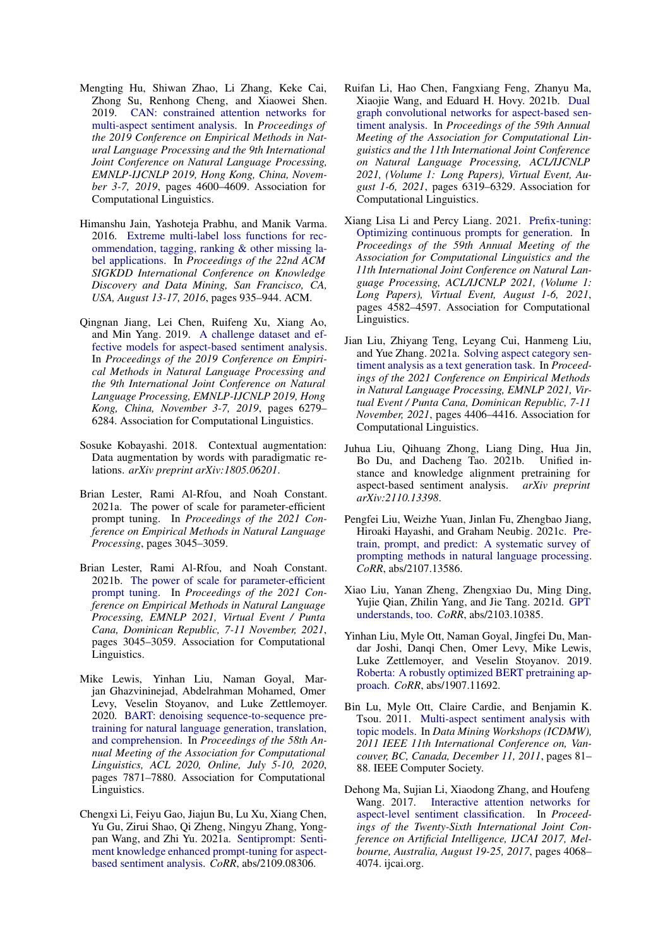- <span id="page-9-3"></span>Mengting Hu, Shiwan Zhao, Li Zhang, Keke Cai, Zhong Su, Renhong Cheng, and Xiaowei Shen. 2019. [CAN: constrained attention networks for](https://doi.org/10.18653/v1/D19-1467) [multi-aspect sentiment analysis.](https://doi.org/10.18653/v1/D19-1467) In *Proceedings of the 2019 Conference on Empirical Methods in Natural Language Processing and the 9th International Joint Conference on Natural Language Processing, EMNLP-IJCNLP 2019, Hong Kong, China, November 3-7, 2019*, pages 4600–4609. Association for Computational Linguistics.
- <span id="page-9-16"></span>Himanshu Jain, Yashoteja Prabhu, and Manik Varma. 2016. [Extreme multi-label loss functions for rec](https://doi.org/10.1145/2939672.2939756)[ommendation, tagging, ranking & other missing la](https://doi.org/10.1145/2939672.2939756)[bel applications.](https://doi.org/10.1145/2939672.2939756) In *Proceedings of the 22nd ACM SIGKDD International Conference on Knowledge Discovery and Data Mining, San Francisco, CA, USA, August 13-17, 2016*, pages 935–944. ACM.
- <span id="page-9-4"></span>Qingnan Jiang, Lei Chen, Ruifeng Xu, Xiang Ao, and Min Yang. 2019. [A challenge dataset and ef](https://doi.org/10.18653/v1/D19-1654)[fective models for aspect-based sentiment analysis.](https://doi.org/10.18653/v1/D19-1654) In *Proceedings of the 2019 Conference on Empirical Methods in Natural Language Processing and the 9th International Joint Conference on Natural Language Processing, EMNLP-IJCNLP 2019, Hong Kong, China, November 3-7, 2019*, pages 6279– 6284. Association for Computational Linguistics.
- <span id="page-9-15"></span>Sosuke Kobayashi. 2018. Contextual augmentation: Data augmentation by words with paradigmatic relations. *arXiv preprint arXiv:1805.06201*.
- <span id="page-9-6"></span>Brian Lester, Rami Al-Rfou, and Noah Constant. 2021a. The power of scale for parameter-efficient prompt tuning. In *Proceedings of the 2021 Conference on Empirical Methods in Natural Language Processing*, pages 3045–3059.
- <span id="page-9-12"></span>Brian Lester, Rami Al-Rfou, and Noah Constant. 2021b. [The power of scale for parameter-efficient](https://doi.org/10.18653/v1/2021.emnlp-main.243) [prompt tuning.](https://doi.org/10.18653/v1/2021.emnlp-main.243) In *Proceedings of the 2021 Conference on Empirical Methods in Natural Language Processing, EMNLP 2021, Virtual Event / Punta Cana, Dominican Republic, 7-11 November, 2021*, pages 3045–3059. Association for Computational Linguistics.
- <span id="page-9-5"></span>Mike Lewis, Yinhan Liu, Naman Goyal, Marjan Ghazvininejad, Abdelrahman Mohamed, Omer Levy, Veselin Stoyanov, and Luke Zettlemoyer. 2020. [BART: denoising sequence-to-sequence pre](https://doi.org/10.18653/v1/2020.acl-main.703)[training for natural language generation, translation,](https://doi.org/10.18653/v1/2020.acl-main.703) [and comprehension.](https://doi.org/10.18653/v1/2020.acl-main.703) In *Proceedings of the 58th Annual Meeting of the Association for Computational Linguistics, ACL 2020, Online, July 5-10, 2020*, pages 7871–7880. Association for Computational Linguistics.
- <span id="page-9-14"></span>Chengxi Li, Feiyu Gao, Jiajun Bu, Lu Xu, Xiang Chen, Yu Gu, Zirui Shao, Qi Zheng, Ningyu Zhang, Yongpan Wang, and Zhi Yu. 2021a. [Sentiprompt: Senti](http://arxiv.org/abs/2109.08306)[ment knowledge enhanced prompt-tuning for aspect](http://arxiv.org/abs/2109.08306)[based sentiment analysis.](http://arxiv.org/abs/2109.08306) *CoRR*, abs/2109.08306.
- <span id="page-9-1"></span>Ruifan Li, Hao Chen, Fangxiang Feng, Zhanyu Ma, Xiaojie Wang, and Eduard H. Hovy. 2021b. [Dual](https://doi.org/10.18653/v1/2021.acl-long.494) [graph convolutional networks for aspect-based sen](https://doi.org/10.18653/v1/2021.acl-long.494)[timent analysis.](https://doi.org/10.18653/v1/2021.acl-long.494) In *Proceedings of the 59th Annual Meeting of the Association for Computational Linguistics and the 11th International Joint Conference on Natural Language Processing, ACL/IJCNLP 2021, (Volume 1: Long Papers), Virtual Event, August 1-6, 2021*, pages 6319–6329. Association for Computational Linguistics.
- <span id="page-9-7"></span>Xiang Lisa Li and Percy Liang. 2021. [Prefix-tuning:](https://doi.org/10.18653/v1/2021.acl-long.353) [Optimizing continuous prompts for generation.](https://doi.org/10.18653/v1/2021.acl-long.353) In *Proceedings of the 59th Annual Meeting of the Association for Computational Linguistics and the 11th International Joint Conference on Natural Language Processing, ACL/IJCNLP 2021, (Volume 1: Long Papers), Virtual Event, August 1-6, 2021*, pages 4582–4597. Association for Computational Linguistics.
- <span id="page-9-10"></span>Jian Liu, Zhiyang Teng, Leyang Cui, Hanmeng Liu, and Yue Zhang. 2021a. [Solving aspect category sen](https://doi.org/10.18653/v1/2021.emnlp-main.361)[timent analysis as a text generation task.](https://doi.org/10.18653/v1/2021.emnlp-main.361) In *Proceedings of the 2021 Conference on Empirical Methods in Natural Language Processing, EMNLP 2021, Virtual Event / Punta Cana, Dominican Republic, 7-11 November, 2021*, pages 4406–4416. Association for Computational Linguistics.
- <span id="page-9-13"></span>Juhua Liu, Qihuang Zhong, Liang Ding, Hua Jin, Bo Du, and Dacheng Tao. 2021b. Unified instance and knowledge alignment pretraining for aspect-based sentiment analysis. *arXiv preprint arXiv:2110.13398*.
- <span id="page-9-9"></span>Pengfei Liu, Weizhe Yuan, Jinlan Fu, Zhengbao Jiang, Hiroaki Hayashi, and Graham Neubig. 2021c. [Pre](http://arxiv.org/abs/2107.13586)[train, prompt, and predict: A systematic survey of](http://arxiv.org/abs/2107.13586) [prompting methods in natural language processing.](http://arxiv.org/abs/2107.13586) *CoRR*, abs/2107.13586.
- <span id="page-9-11"></span>Xiao Liu, Yanan Zheng, Zhengxiao Du, Ming Ding, Yujie Qian, Zhilin Yang, and Jie Tang. 2021d. [GPT](http://arxiv.org/abs/2103.10385) [understands, too.](http://arxiv.org/abs/2103.10385) *CoRR*, abs/2103.10385.
- <span id="page-9-8"></span>Yinhan Liu, Myle Ott, Naman Goyal, Jingfei Du, Mandar Joshi, Danqi Chen, Omer Levy, Mike Lewis, Luke Zettlemoyer, and Veselin Stoyanov. 2019. [Roberta: A robustly optimized BERT pretraining ap](http://arxiv.org/abs/1907.11692)[proach.](http://arxiv.org/abs/1907.11692) *CoRR*, abs/1907.11692.
- <span id="page-9-2"></span>Bin Lu, Myle Ott, Claire Cardie, and Benjamin K. Tsou. 2011. [Multi-aspect sentiment analysis with](https://doi.org/10.1109/ICDMW.2011.125) [topic models.](https://doi.org/10.1109/ICDMW.2011.125) In *Data Mining Workshops (ICDMW), 2011 IEEE 11th International Conference on, Vancouver, BC, Canada, December 11, 2011*, pages 81– 88. IEEE Computer Society.
- <span id="page-9-0"></span>Dehong Ma, Sujian Li, Xiaodong Zhang, and Houfeng Wang. 2017. [Interactive attention networks for](https://doi.org/10.24963/ijcai.2017/568) [aspect-level sentiment classification.](https://doi.org/10.24963/ijcai.2017/568) In *Proceedings of the Twenty-Sixth International Joint Conference on Artificial Intelligence, IJCAI 2017, Melbourne, Australia, August 19-25, 2017*, pages 4068– 4074. ijcai.org.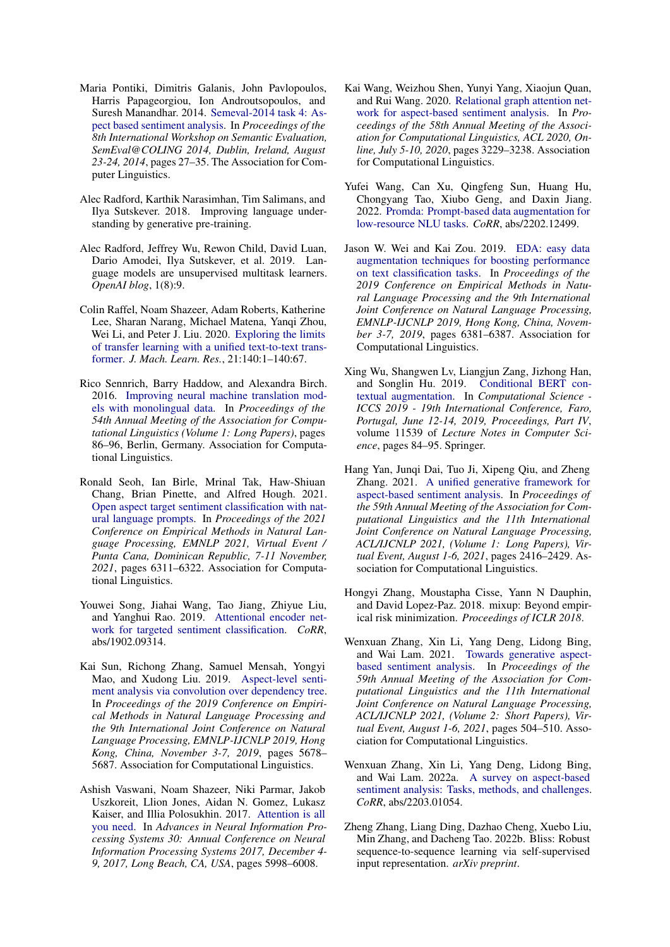- <span id="page-10-4"></span>Maria Pontiki, Dimitris Galanis, John Pavlopoulos, Harris Papageorgiou, Ion Androutsopoulos, and Suresh Manandhar. 2014. [Semeval-2014 task 4: As](https://doi.org/10.3115/v1/s14-2004)[pect based sentiment analysis.](https://doi.org/10.3115/v1/s14-2004) In *Proceedings of the 8th International Workshop on Semantic Evaluation, SemEval@COLING 2014, Dublin, Ireland, August 23-24, 2014*, pages 27–35. The Association for Computer Linguistics.
- <span id="page-10-6"></span>Alec Radford, Karthik Narasimhan, Tim Salimans, and Ilya Sutskever. 2018. Improving language understanding by generative pre-training.
- <span id="page-10-7"></span>Alec Radford, Jeffrey Wu, Rewon Child, David Luan, Dario Amodei, Ilya Sutskever, et al. 2019. Language models are unsupervised multitask learners. *OpenAI blog*, 1(8):9.
- <span id="page-10-3"></span>Colin Raffel, Noam Shazeer, Adam Roberts, Katherine Lee, Sharan Narang, Michael Matena, Yanqi Zhou, Wei Li, and Peter J. Liu. 2020. [Exploring the limits](http://jmlr.org/papers/v21/20-074.html) [of transfer learning with a unified text-to-text trans](http://jmlr.org/papers/v21/20-074.html)[former.](http://jmlr.org/papers/v21/20-074.html) *J. Mach. Learn. Res.*, 21:140:1–140:67.
- <span id="page-10-17"></span>Rico Sennrich, Barry Haddow, and Alexandra Birch. 2016. [Improving neural machine translation mod](https://doi.org/10.18653/v1/P16-1009)[els with monolingual data.](https://doi.org/10.18653/v1/P16-1009) In *Proceedings of the 54th Annual Meeting of the Association for Computational Linguistics (Volume 1: Long Papers)*, pages 86–96, Berlin, Germany. Association for Computational Linguistics.
- <span id="page-10-11"></span>Ronald Seoh, Ian Birle, Mrinal Tak, Haw-Shiuan Chang, Brian Pinette, and Alfred Hough. 2021. [Open aspect target sentiment classification with nat](https://doi.org/10.18653/v1/2021.emnlp-main.509)[ural language prompts.](https://doi.org/10.18653/v1/2021.emnlp-main.509) In *Proceedings of the 2021 Conference on Empirical Methods in Natural Language Processing, EMNLP 2021, Virtual Event / Punta Cana, Dominican Republic, 7-11 November, 2021*, pages 6311–6322. Association for Computational Linguistics.
- <span id="page-10-8"></span>Youwei Song, Jiahai Wang, Tao Jiang, Zhiyue Liu, and Yanghui Rao. 2019. [Attentional encoder net](http://arxiv.org/abs/1902.09314)[work for targeted sentiment classification.](http://arxiv.org/abs/1902.09314) *CoRR*, abs/1902.09314.
- <span id="page-10-0"></span>Kai Sun, Richong Zhang, Samuel Mensah, Yongyi Mao, and Xudong Liu. 2019. [Aspect-level senti](https://doi.org/10.18653/v1/D19-1569)[ment analysis via convolution over dependency tree.](https://doi.org/10.18653/v1/D19-1569) In *Proceedings of the 2019 Conference on Empirical Methods in Natural Language Processing and the 9th International Joint Conference on Natural Language Processing, EMNLP-IJCNLP 2019, Hong Kong, China, November 3-7, 2019*, pages 5678– 5687. Association for Computational Linguistics.
- <span id="page-10-5"></span>Ashish Vaswani, Noam Shazeer, Niki Parmar, Jakob Uszkoreit, Llion Jones, Aidan N. Gomez, Lukasz Kaiser, and Illia Polosukhin. 2017. [Attention is all](https://proceedings.neurips.cc/paper/2017/hash/3f5ee243547dee91fbd053c1c4a845aa-Abstract.html) [you need.](https://proceedings.neurips.cc/paper/2017/hash/3f5ee243547dee91fbd053c1c4a845aa-Abstract.html) In *Advances in Neural Information Processing Systems 30: Annual Conference on Neural Information Processing Systems 2017, December 4- 9, 2017, Long Beach, CA, USA*, pages 5998–6008.
- <span id="page-10-1"></span>Kai Wang, Weizhou Shen, Yunyi Yang, Xiaojun Quan, and Rui Wang. 2020. [Relational graph attention net](https://doi.org/10.18653/v1/2020.acl-main.295)[work for aspect-based sentiment analysis.](https://doi.org/10.18653/v1/2020.acl-main.295) In *Proceedings of the 58th Annual Meeting of the Association for Computational Linguistics, ACL 2020, Online, July 5-10, 2020*, pages 3229–3238. Association for Computational Linguistics.
- <span id="page-10-15"></span>Yufei Wang, Can Xu, Qingfeng Sun, Huang Hu, Chongyang Tao, Xiubo Geng, and Daxin Jiang. 2022. [Promda: Prompt-based data augmentation for](http://arxiv.org/abs/2202.12499) [low-resource NLU tasks.](http://arxiv.org/abs/2202.12499) *CoRR*, abs/2202.12499.
- <span id="page-10-13"></span>Jason W. Wei and Kai Zou. 2019. [EDA: easy data](https://doi.org/10.18653/v1/D19-1670) [augmentation techniques for boosting performance](https://doi.org/10.18653/v1/D19-1670) [on text classification tasks.](https://doi.org/10.18653/v1/D19-1670) In *Proceedings of the 2019 Conference on Empirical Methods in Natural Language Processing and the 9th International Joint Conference on Natural Language Processing, EMNLP-IJCNLP 2019, Hong Kong, China, November 3-7, 2019*, pages 6381–6387. Association for Computational Linguistics.
- <span id="page-10-14"></span>Xing Wu, Shangwen Lv, Liangjun Zang, Jizhong Han, and Songlin Hu. 2019. [Conditional BERT con](https://doi.org/10.1007/978-3-030-22747-0_7)[textual augmentation.](https://doi.org/10.1007/978-3-030-22747-0_7) In *Computational Science - ICCS 2019 - 19th International Conference, Faro, Portugal, June 12-14, 2019, Proceedings, Part IV*, volume 11539 of *Lecture Notes in Computer Science*, pages 84–95. Springer.
- <span id="page-10-9"></span>Hang Yan, Junqi Dai, Tuo Ji, Xipeng Qiu, and Zheng Zhang. 2021. [A unified generative framework for](https://doi.org/10.18653/v1/2021.acl-long.188) [aspect-based sentiment analysis.](https://doi.org/10.18653/v1/2021.acl-long.188) In *Proceedings of the 59th Annual Meeting of the Association for Computational Linguistics and the 11th International Joint Conference on Natural Language Processing, ACL/IJCNLP 2021, (Volume 1: Long Papers), Virtual Event, August 1-6, 2021*, pages 2416–2429. Association for Computational Linguistics.
- <span id="page-10-12"></span>Hongyi Zhang, Moustapha Cisse, Yann N Dauphin, and David Lopez-Paz. 2018. mixup: Beyond empirical risk minimization. *Proceedings of ICLR 2018*.
- <span id="page-10-10"></span>Wenxuan Zhang, Xin Li, Yang Deng, Lidong Bing, and Wai Lam. 2021. [Towards generative aspect](https://doi.org/10.18653/v1/2021.acl-short.64)[based sentiment analysis.](https://doi.org/10.18653/v1/2021.acl-short.64) In *Proceedings of the 59th Annual Meeting of the Association for Computational Linguistics and the 11th International Joint Conference on Natural Language Processing, ACL/IJCNLP 2021, (Volume 2: Short Papers), Virtual Event, August 1-6, 2021*, pages 504–510. Association for Computational Linguistics.
- <span id="page-10-2"></span>Wenxuan Zhang, Xin Li, Yang Deng, Lidong Bing, and Wai Lam. 2022a. [A survey on aspect-based](https://doi.org/10.48550/arXiv.2203.01054) [sentiment analysis: Tasks, methods, and challenges.](https://doi.org/10.48550/arXiv.2203.01054) *CoRR*, abs/2203.01054.
- <span id="page-10-16"></span>Zheng Zhang, Liang Ding, Dazhao Cheng, Xuebo Liu, Min Zhang, and Dacheng Tao. 2022b. Bliss: Robust sequence-to-sequence learning via self-supervised input representation. *arXiv preprint*.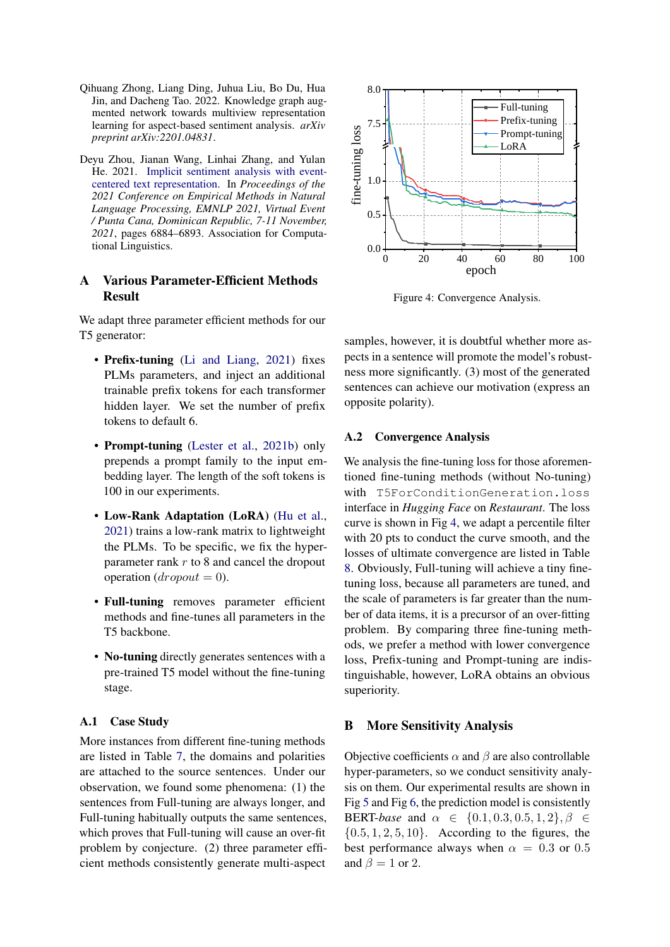- <span id="page-11-0"></span>Qihuang Zhong, Liang Ding, Juhua Liu, Bo Du, Hua Jin, and Dacheng Tao. 2022. Knowledge graph augmented network towards multiview representation learning for aspect-based sentiment analysis. *arXiv preprint arXiv:2201.04831*.
- <span id="page-11-1"></span>Deyu Zhou, Jianan Wang, Linhai Zhang, and Yulan He. 2021. [Implicit sentiment analysis with event](https://doi.org/10.18653/v1/2021.emnlp-main.551)[centered text representation.](https://doi.org/10.18653/v1/2021.emnlp-main.551) In *Proceedings of the 2021 Conference on Empirical Methods in Natural Language Processing, EMNLP 2021, Virtual Event / Punta Cana, Dominican Republic, 7-11 November, 2021*, pages 6884–6893. Association for Computational Linguistics.

## <span id="page-11-2"></span>A Various Parameter-Efficient Methods Result

We adapt three parameter efficient methods for our T5 generator:

- Prefix-tuning [\(Li and Liang,](#page-9-7) [2021\)](#page-9-7) fixes PLMs parameters, and inject an additional trainable prefix tokens for each transformer hidden layer. We set the number of prefix tokens to default 6.
- Prompt-tuning [\(Lester et al.,](#page-9-12) [2021b\)](#page-9-12) only prepends a prompt family to the input embedding layer. The length of the soft tokens is 100 in our experiments.
- Low-Rank Adaptation (LoRA) [\(Hu et al.,](#page-8-2) [2021\)](#page-8-2) trains a low-rank matrix to lightweight the PLMs. To be specific, we fix the hyperparameter rank  $r$  to 8 and cancel the dropout operation  $\text{d}$ ropout = 0).
- Full-tuning removes parameter efficient methods and fine-tunes all parameters in the T5 backbone.
- No-tuning directly generates sentences with a pre-trained T5 model without the fine-tuning stage.

### A.1 Case Study

More instances from different fine-tuning methods are listed in Table [7,](#page-12-0) the domains and polarities are attached to the source sentences. Under our observation, we found some phenomena: (1) the sentences from Full-tuning are always longer, and Full-tuning habitually outputs the same sentences, which proves that Full-tuning will cause an over-fit problem by conjecture. (2) three parameter efficient methods consistently generate multi-aspect

<span id="page-11-3"></span>

Figure 4: Convergence Analysis.

samples, however, it is doubtful whether more aspects in a sentence will promote the model's robustness more significantly. (3) most of the generated sentences can achieve our motivation (express an opposite polarity).

### A.2 Convergence Analysis

We analysis the fine-tuning loss for those aforementioned fine-tuning methods (without No-tuning) with T5ForConditionGeneration.loss interface in *Hugging Face* on *Restaurant*. The loss curve is shown in Fig [4,](#page-11-3) we adapt a percentile filter with 20 pts to conduct the curve smooth, and the losses of ultimate convergence are listed in Table [8.](#page-12-1) Obviously, Full-tuning will achieve a tiny finetuning loss, because all parameters are tuned, and the scale of parameters is far greater than the number of data items, it is a precursor of an over-fitting problem. By comparing three fine-tuning methods, we prefer a method with lower convergence loss, Prefix-tuning and Prompt-tuning are indistinguishable, however, LoRA obtains an obvious superiority.

### B More Sensitivity Analysis

Objective coefficients  $\alpha$  and  $\beta$  are also controllable hyper-parameters, so we conduct sensitivity analysis on them. Our experimental results are shown in Fig [5](#page-12-2) and Fig [6,](#page-13-0) the prediction model is consistently BERT-*base* and  $\alpha \in \{0.1, 0.3, 0.5, 1, 2\}, \beta \in$  $\{0.5, 1, 2, 5, 10\}$ . According to the figures, the best performance always when  $\alpha = 0.3$  or 0.5 and  $\beta = 1$  or 2.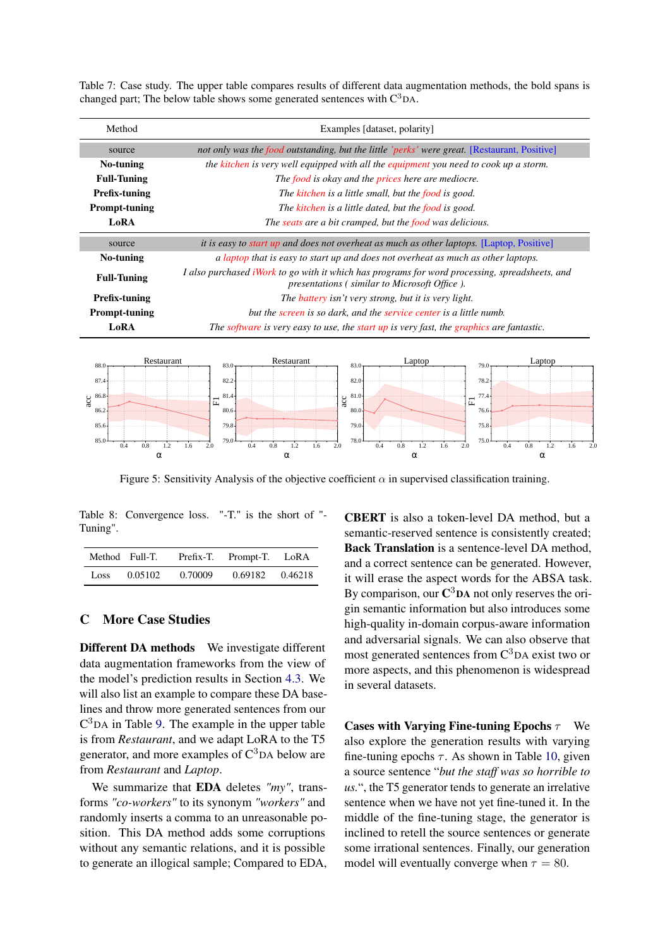| Method               | Examples [dataset, polarity]                                                                                                                          |  |  |  |
|----------------------|-------------------------------------------------------------------------------------------------------------------------------------------------------|--|--|--|
| source               | not only was the food outstanding, but the little 'perks' were great. [Restaurant, Positive]                                                          |  |  |  |
| No-tuning            | the kitchen is very well equipped with all the equipment you need to cook up a storm.                                                                 |  |  |  |
| <b>Full-Tuning</b>   | The food is okay and the prices here are mediocre.                                                                                                    |  |  |  |
| <b>Prefix-tuning</b> | The kitchen is a little small, but the food is good.                                                                                                  |  |  |  |
| <b>Prompt-tuning</b> | The kitchen is a little dated, but the food is good.                                                                                                  |  |  |  |
| LoRA                 | The seats are a bit cramped, but the food was delicious.                                                                                              |  |  |  |
| source               | <i>it is easy to start up and does not overheat as much as other laptops.</i> [Laptop, Positive]                                                      |  |  |  |
| No-tuning            | a laptop that is easy to start up and does not overheat as much as other laptops.                                                                     |  |  |  |
| <b>Full-Tuning</b>   | I also purchased iWork to go with it which has programs for word processing, spreadsheets, and<br><i>presentations (similar to Microsoft Office).</i> |  |  |  |
| Prefix-tuning        | The <b>battery</b> isn't very strong, but it is very light.                                                                                           |  |  |  |
| <b>Prompt-tuning</b> | but the screen is so dark, and the service center is a little numb.                                                                                   |  |  |  |
| LoRA                 | The software is very easy to use, the start up is very fast, the graphics are fantastic.                                                              |  |  |  |

<span id="page-12-0"></span>Table 7: Case study. The upper table compares results of different data augmentation methods, the bold spans is changed part; The below table shows some generated sentences with  $C^3$ DA.

<span id="page-12-2"></span>

Figure 5: Sensitivity Analysis of the objective coefficient  $\alpha$  in supervised classification training.

<span id="page-12-1"></span>Table 8: Convergence loss. "-T." is the short of "- Tuning".

|      | Method Full-T. | Prefix-T. | Prompt-T. LoRA |         |
|------|----------------|-----------|----------------|---------|
| Loss | 0.05102        | 0.70009   | 0.69182        | 0.46218 |

### C More Case Studies

Different DA methods We investigate different data augmentation frameworks from the view of the model's prediction results in Section [4.3.](#page-5-2) We will also list an example to compare these DA baselines and throw more generated sentences from our  $C<sup>3</sup>DA$  in Table [9.](#page-13-1) The example in the upper table is from *Restaurant*, and we adapt LoRA to the T5 generator, and more examples of  $C<sup>3</sup>DA$  below are from *Restaurant* and *Laptop*.

We summarize that EDA deletes *"my"*, transforms *"co-workers"* to its synonym *"workers"* and randomly inserts a comma to an unreasonable position. This DA method adds some corruptions without any semantic relations, and it is possible to generate an illogical sample; Compared to EDA,

CBERT is also a token-level DA method, but a semantic-reserved sentence is consistently created; Back Translation is a sentence-level DA method, and a correct sentence can be generated. However, it will erase the aspect words for the ABSA task. By comparison, our  $\mathbb{C}^3$ DA not only reserves the origin semantic information but also introduces some high-quality in-domain corpus-aware information and adversarial signals. We can also observe that most generated sentences from  $C<sup>3</sup>DA$  exist two or more aspects, and this phenomenon is widespread in several datasets.

Cases with Varying Fine-tuning Epochs  $\tau$  We also explore the generation results with varying fine-tuning epochs  $\tau$ . As shown in Table [10,](#page-13-2) given a source sentence "*but the staff was so horrible to us.*", the T5 generator tends to generate an irrelative sentence when we have not yet fine-tuned it. In the middle of the fine-tuning stage, the generator is inclined to retell the source sentences or generate some irrational sentences. Finally, our generation model will eventually converge when  $\tau = 80$ .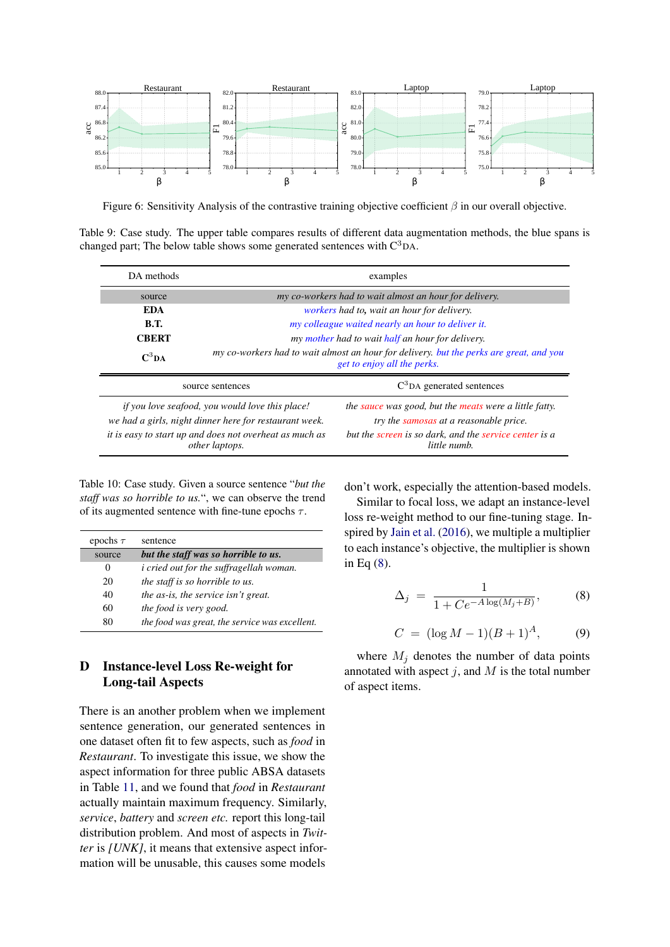<span id="page-13-0"></span>

Figure 6: Sensitivity Analysis of the contrastive training objective coefficient  $\beta$  in our overall objective.

<span id="page-13-1"></span>Table 9: Case study. The upper table compares results of different data augmentation methods, the blue spans is changed part; The below table shows some generated sentences with  $C^3DA$ .

| DA methods                                                                                                                                                                             | examples                                                                                                               |                                                                                                                                                                            |  |  |
|----------------------------------------------------------------------------------------------------------------------------------------------------------------------------------------|------------------------------------------------------------------------------------------------------------------------|----------------------------------------------------------------------------------------------------------------------------------------------------------------------------|--|--|
| source                                                                                                                                                                                 | my co-workers had to wait almost an hour for delivery.                                                                 |                                                                                                                                                                            |  |  |
| <b>EDA</b>                                                                                                                                                                             |                                                                                                                        | workers had to, wait an hour for delivery.                                                                                                                                 |  |  |
| <b>B.T.</b>                                                                                                                                                                            |                                                                                                                        | my colleague waited nearly an hour to deliver it.                                                                                                                          |  |  |
| <b>CBERT</b>                                                                                                                                                                           |                                                                                                                        | my mother had to wait half an hour for delivery.                                                                                                                           |  |  |
| $C^3DA$                                                                                                                                                                                | my co-workers had to wait almost an hour for delivery, but the perks are great, and you<br>get to enjoy all the perks. |                                                                                                                                                                            |  |  |
| source sentences                                                                                                                                                                       |                                                                                                                        | $C3DA$ generated sentences                                                                                                                                                 |  |  |
| if you love seafood, you would love this place!<br>we had a girls, night dinner here for restaurant week.<br>it is easy to start up and does not overheat as much as<br>other laptops. |                                                                                                                        | the sauce was good, but the meats were a little fatty.<br>try the samosas at a reasonable price.<br>but the screen is so dark, and the service center is a<br>little numb. |  |  |

<span id="page-13-2"></span>Table 10: Case study. Given a source sentence "*but the staff was so horrible to us.*", we can observe the trend of its augmented sentence with fine-tune epochs  $\tau$ .

| epochs $\tau$ | sentence                                       |
|---------------|------------------------------------------------|
| source        | but the staff was so horrible to us.           |
| $_{0}$        | <i>i</i> cried out for the suffragellah woman. |
| 20            | the staff is so horrible to us.                |
| 40            | the as-is, the service isn't great.            |
| 60            | the food is very good.                         |
| 80            | the food was great, the service was excellent. |

## D Instance-level Loss Re-weight for Long-tail Aspects

There is an another problem when we implement sentence generation, our generated sentences in one dataset often fit to few aspects, such as *food* in *Restaurant*. To investigate this issue, we show the aspect information for three public ABSA datasets in Table [11,](#page-14-0) and we found that *food* in *Restaurant* actually maintain maximum frequency. Similarly, *service*, *battery* and *screen etc.* report this long-tail distribution problem. And most of aspects in *Twitter* is *[UNK]*, it means that extensive aspect information will be unusable, this causes some models

don't work, especially the attention-based models.

Similar to focal loss, we adapt an instance-level loss re-weight method to our fine-tuning stage. Inspired by [Jain et al.](#page-9-16) [\(2016\)](#page-9-16), we multiple a multiplier to each instance's objective, the multiplier is shown in Eq [\(8\)](#page-13-3).

<span id="page-13-3"></span>
$$
\Delta_j = \frac{1}{1 + Ce^{-A \log(M_j + B)}},\tag{8}
$$

$$
C = (\log M - 1)(B + 1)^A, \tag{9}
$$

where  $M_j$  denotes the number of data points annotated with aspect  $j$ , and  $M$  is the total number of aspect items.